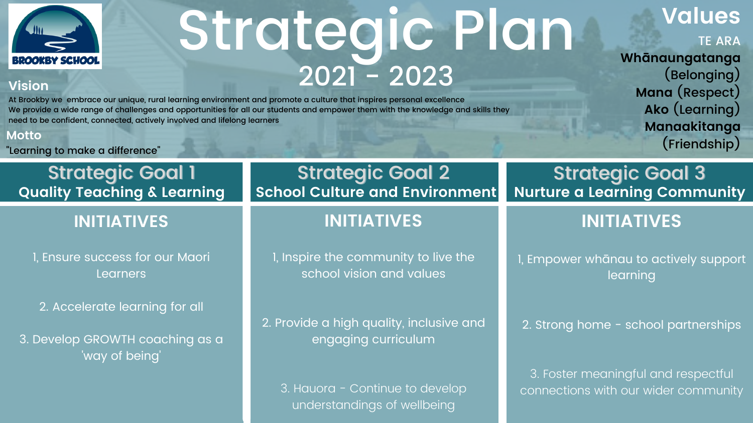

# Strategic Plan  $2021 - 2023$

### **Vision**

At Brookby we embrace our unique, rural learning environment and promote a culture that inspires personal excellence We provide a wide range of challenges and opportunities for all our students and empower them with the knowledge and skills they need to be confident, connected, actively involved and lifelong learners

#### **Motto**

2. Provide a high quality, inclusive and engaging curriculum

"Learning to make a difference"

### **Values** TE ARA **Whānaungatanga** (Belonging) **Mana** (Respect) **Ako** (Learning) **Manaakitanga** (Friendship)

**Quality Teaching & Learning**

### **INITIATIVES**

1, Ensure success for our Maori Learners

2. Accelerate learning for all

3. Develop GROWTH coaching as a way of being '

### Strategic Goal 1 Strategic Goal 2 Strategic Goal 3<br>Ility Teaching & Learning School Culture and Environment Nurture a Learning Community **School Culture and Environment**

## **INITIATIVES**

1, Inspire the community to live the school vision and values

3. Hauora - Continue to develop understandings of wellbeing

## **INITIATIVES**

1, Empower whānau to actively support learning

2. Strong home - school partnerships

3. Foster meaningful and respectful connections with our wider community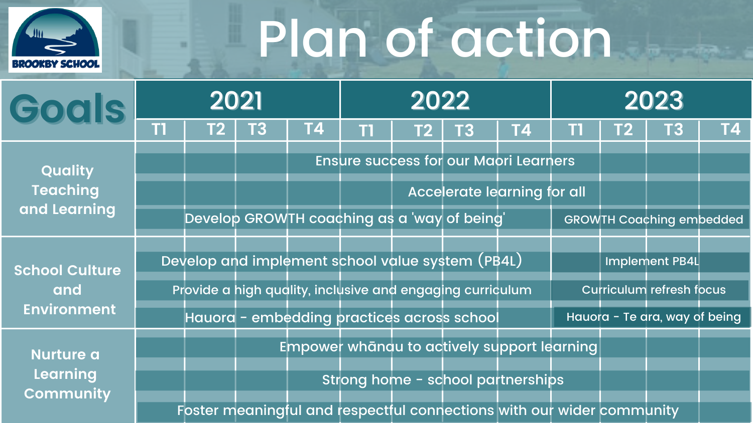# Plan of action



| Goals                                              | 2021 |      |           | 2022      |    |  |                                                                       | 2023      |    |    |                                 |           |
|----------------------------------------------------|------|------|-----------|-----------|----|--|-----------------------------------------------------------------------|-----------|----|----|---------------------------------|-----------|
|                                                    | П    | T2 I | <b>T3</b> | <b>T4</b> | T1 |  | <b>T2</b> T3                                                          | <b>T4</b> | T1 | T2 | T3                              | <b>T4</b> |
| Quality<br><b>Teaching</b><br>and Learning         |      |      |           |           |    |  | <b>Ensure success for our Maori Learners</b>                          |           |    |    |                                 |           |
|                                                    |      |      |           |           |    |  | Accelerate learning for all                                           |           |    |    |                                 |           |
|                                                    |      |      |           |           |    |  | Develop GROWTH coaching as a 'way of being'                           |           |    |    | <b>GROWTH Coaching embedded</b> |           |
| <b>School Culture</b><br>and<br><b>Environment</b> |      |      |           |           |    |  | Develop and implement school value system (PB4L)                      |           |    |    | Implement PB4L                  |           |
|                                                    |      |      |           |           |    |  | Provide a high quality, inclusive and engaging curriculum             |           |    |    | <b>Curriculum refresh focus</b> |           |
|                                                    |      |      |           |           |    |  | Hauora - embedding practices across school                            |           |    |    | Hauora - Te ara, way of being   |           |
| <b>Nurture a</b><br>Learning<br><b>Community</b>   |      |      |           |           |    |  | Empower whanau to actively support learning                           |           |    |    |                                 |           |
|                                                    |      |      |           |           |    |  | Strong home - school partnerships                                     |           |    |    |                                 |           |
|                                                    |      |      |           |           |    |  | Foster meaningful and respectful connections with our wider community |           |    |    |                                 |           |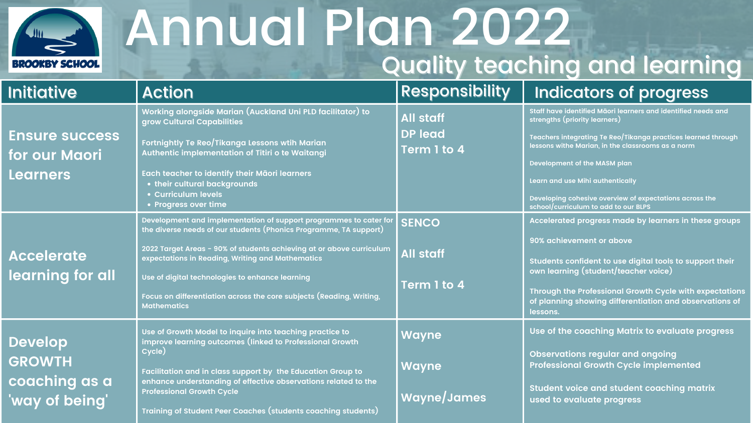

## Annual Plan 2022 Quality teaching and learning

**Staff have identified Māori learners and identified needs and strengths (priority learners)**

**Teachers integrating Te Reo/Tikanga practices learned through lessons withe Marian, in the classrooms as a norm**

**Development of the MASM plan**

**Learn and use Mihi authentically**

**Developing cohesive overview of expectations across the school/curriculum to add to our BLPS**

| <b>Initiative</b>                                                  | <b>Action</b>                                                                                                                                                                                                                                                                                                                                                                                                       | <b>Respons</b>                                    |
|--------------------------------------------------------------------|---------------------------------------------------------------------------------------------------------------------------------------------------------------------------------------------------------------------------------------------------------------------------------------------------------------------------------------------------------------------------------------------------------------------|---------------------------------------------------|
| <b>Ensure success</b><br>for our Maori<br><b>Learners</b>          | Working alongside Marian (Auckland Uni PLD facilitator) to<br>grow Cultural Capabilities<br>Fortnightly Te Reo/Tikanga Lessons wtih Marian<br>Authentic implementation of Titiri o te Waitangi<br>Each teacher to identify their Māori learners<br>. their cultural backgrounds<br>• Curriculum levels<br>• Progress over time                                                                                      | <b>All staff</b><br><b>DP lead</b><br>Term 1 to 4 |
| <b>Accelerate</b><br>learning for all                              | Development and implementation of support programmes to cater for<br>the diverse needs of our students (Phonics Programme, TA support)<br>2022 Target Areas - 90% of students achieving at or above curriculum<br>expectations in Reading, Writing and Mathematics<br>Use of digital technologies to enhance learning<br>Focus on differentiation across the core subjects (Reading, Writing,<br><b>Mathematics</b> | <b>SENCO</b><br><b>All staff</b><br>Term 1 to 4   |
| <b>Develop</b><br><b>GROWTH</b><br>coaching as a<br>'way of being' | Use of Growth Model to inquire into teaching practice to<br>improve learning outcomes (linked to Professional Growth<br>Cycle)<br>Facilitation and in class support by the Education Group to<br>enhance understanding of effective observations related to the<br><b>Professional Growth Cycle</b><br>Training of Student Peer Coaches (students coaching students)                                                | <b>Wayne</b><br><b>Wayne</b><br>Wayne/Jam         |

### ibility Indicators of progress

**Accelerated progress made by learners in these groups**

**90% achievement or above**

**Students confident to use digital tools to support their own learning (student/teacher voice)**

**Through the Professional Growth Cycle with expectations of planning showing differentiation and observations of lessons.**

**Use of the coaching Matrix to evaluate progress**

**Observations regular and ongoing Professional Growth Cycle implemented**

**Student voice and student coaching matrix used to evaluate progress**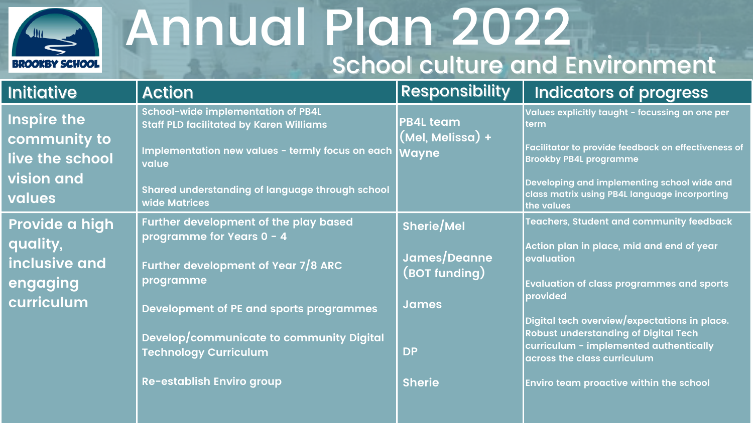

## Annual Plan 2022 School culture and Environment

| <b>Initiative</b>                                                                    | <b>Action</b>                                                                                                                                                                                                                                                                            | <b>Responsibility</b>                                                                                  | <b>Indicators of progress</b>                                                                                                                                                                                                                                                                                                                                                           |
|--------------------------------------------------------------------------------------|------------------------------------------------------------------------------------------------------------------------------------------------------------------------------------------------------------------------------------------------------------------------------------------|--------------------------------------------------------------------------------------------------------|-----------------------------------------------------------------------------------------------------------------------------------------------------------------------------------------------------------------------------------------------------------------------------------------------------------------------------------------------------------------------------------------|
| <b>Inspire the</b><br>community to<br>live the school<br><b>vision and</b><br>values | School-wide implementation of PB4L<br><b>Staff PLD facilitated by Karen Williams</b><br>Implementation new values - termly focus on each<br>value<br>Shared understanding of language through school<br>wide Matrices                                                                    | <b>PB4L team</b><br>(Mel, Melissa) +<br><b>Wayne</b>                                                   | Values explicitly taught - focussing on one<br><b>term</b><br>Facilitator to provide feedback on effective<br><b>Brookby PB4L programme</b><br>Developing and implementing school wide<br><b>class matrix using PB4L language incorpor</b><br>the values                                                                                                                                |
| Provide a high<br>quality,<br>inclusive and<br>engaging<br>curriculum                | <b>Further development of the play based</b><br>programme for Years 0 - 4<br>Further development of Year 7/8 ARC<br>programme<br><b>Development of PE and sports programmes</b><br>Develop/communicate to community Digital<br><b>Technology Curriculum</b><br>Re-establish Enviro group | <b>Sherie/Mel</b><br>James/Deanne<br>$($ BOT funding $)$<br><b>James</b><br><b>DP</b><br><b>Sherie</b> | Teachers, Student and community feed<br>Action plan in place, mid and end of yed<br><b>evaluation</b><br><b>Evaluation of class programmes and sp</b><br>provided<br>Digital tech overview/expectations in pl<br><b>Robust understanding of Digital Tech</b><br>curriculum - implemented authentically<br>across the class curriculum<br><b>Enviro team proactive within the school</b> |

| <b>ibility</b>      | <b>Indicators of progress</b>                                                                                                                                        |
|---------------------|----------------------------------------------------------------------------------------------------------------------------------------------------------------------|
| $\boldsymbol{\Phi}$ | Values explicitly taught - focussing on one per<br>term                                                                                                              |
|                     | Facilitator to provide feedback on effectiveness of<br><b>Brookby PB4L programme</b>                                                                                 |
|                     | Developing and implementing school wide and<br>class matrix using PB4L language incorporting<br>the values                                                           |
|                     | <b>Teachers, Student and community feedback</b>                                                                                                                      |
| nne<br>ıg)          | Action plan in place, mid and end of year<br>evaluation                                                                                                              |
|                     | <b>Evaluation of class programmes and sports</b><br>provided                                                                                                         |
|                     | Digital tech overview/expectations in place.<br><b>Robust understanding of Digital Tech</b><br>curriculum - implemented authentically<br>across the class curriculum |
|                     | <b>Enviro team proactive within the school</b>                                                                                                                       |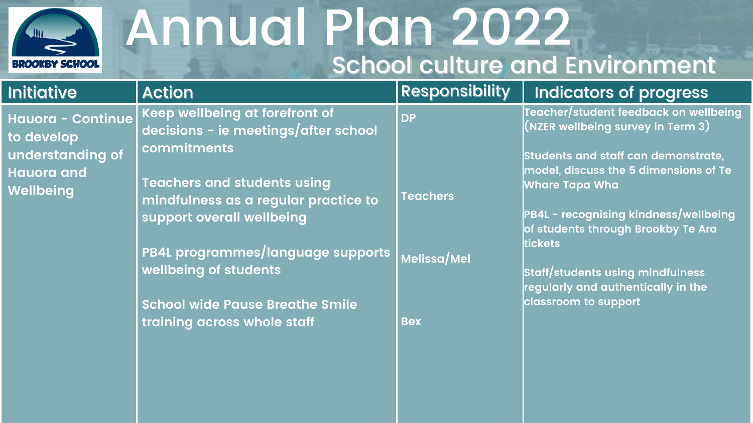

## Annual Plan 2022 School culture and Environment

| <b>Initiative</b>                                                        | <b>Action</b>                                                                                           | Responsi    |
|--------------------------------------------------------------------------|---------------------------------------------------------------------------------------------------------|-------------|
| Hauora - Continue<br>to develop<br>understanding of<br><b>Hauora and</b> | Keep wellbeing at forefront of<br>decisions - ie meetings/after school<br>commitments                   | <b>DP</b>   |
| Wellbeing                                                                | <b>Teachers and students using</b><br>mindfulness as a regular practice to<br>support overall wellbeing | Teachers    |
|                                                                          | PB4L programmes/language_supports<br>wellbeing of students                                              | Melissa/Mel |
|                                                                          | <b>School wide Pause Breathe Smile</b><br>training across whole staff                                   | <b>Bex</b>  |
|                                                                          |                                                                                                         |             |

### ibility Indicators of progress

**Teacher/student feedback on wellbeing (NZER wellbeing survey in Term 3)**

**Students and staff can demonstrate, model, discuss the 5 dimensions of Te Whare Tapa Wha**

**PB4L - recognising kindness/wellbeing of students through Brookby Te Ara tickets**

**Staff/students using mindfulness regularly and authentically in the classroom to support**